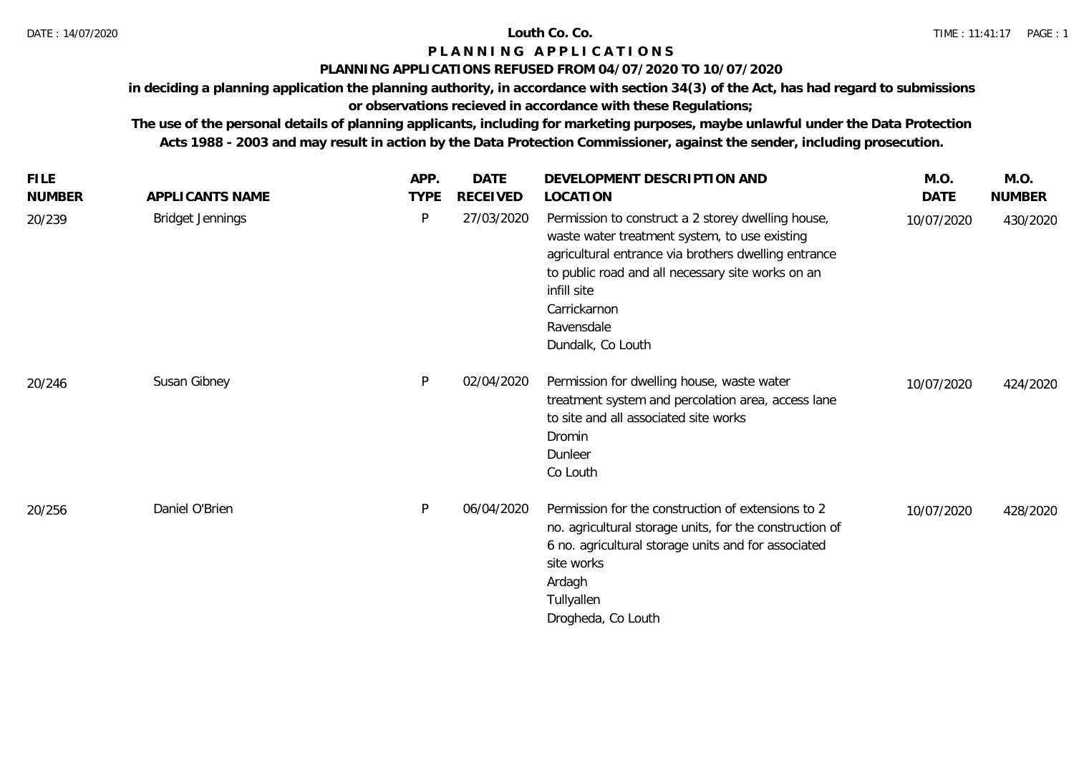## **P L A N N I N G A P P L I C A T I O N S**

### **PLANNING APPLICATIONS REFUSED FROM 04/07/2020 TO 10/07/2020**

**in deciding a planning application the planning authority, in accordance with section 34(3) of the Act, has had regard to submissions** 

# **or observations recieved in accordance with these Regulations;**

**The use of the personal details of planning applicants, including for marketing purposes, maybe unlawful under the Data Protection Acts 1988 - 2003 and may result in action by the Data Protection Commissioner, against the sender, including prosecution.**

| <b>FILE</b>   |                         | APP.        | <b>DATE</b>     | DEVELOPMENT DESCRIPTION AND                                                                                                                                                                                                                                                        | M.O.       | M.O.          |
|---------------|-------------------------|-------------|-----------------|------------------------------------------------------------------------------------------------------------------------------------------------------------------------------------------------------------------------------------------------------------------------------------|------------|---------------|
| <b>NUMBER</b> | APPLICANTS NAME         | <b>TYPE</b> | <b>RECEIVED</b> | LOCATION                                                                                                                                                                                                                                                                           | DATE       | <b>NUMBER</b> |
| 20/239        | <b>Bridget Jennings</b> | P           | 27/03/2020      | Permission to construct a 2 storey dwelling house,<br>waste water treatment system, to use existing<br>agricultural entrance via brothers dwelling entrance<br>to public road and all necessary site works on an<br>infill site<br>Carrickarnon<br>Ravensdale<br>Dundalk, Co Louth | 10/07/2020 | 430/2020      |
| 20/246        | Susan Gibney            | P           | 02/04/2020      | Permission for dwelling house, waste water<br>treatment system and percolation area, access lane<br>to site and all associated site works<br>Dromin<br>Dunleer<br>Co Louth                                                                                                         | 10/07/2020 | 424/2020      |
| 20/256        | Daniel O'Brien          | P           | 06/04/2020      | Permission for the construction of extensions to 2<br>no. agricultural storage units, for the construction of<br>6 no. agricultural storage units and for associated<br>site works<br>Ardagh<br>Tullyallen<br>Drogheda, Co Louth                                                   | 10/07/2020 | 428/2020      |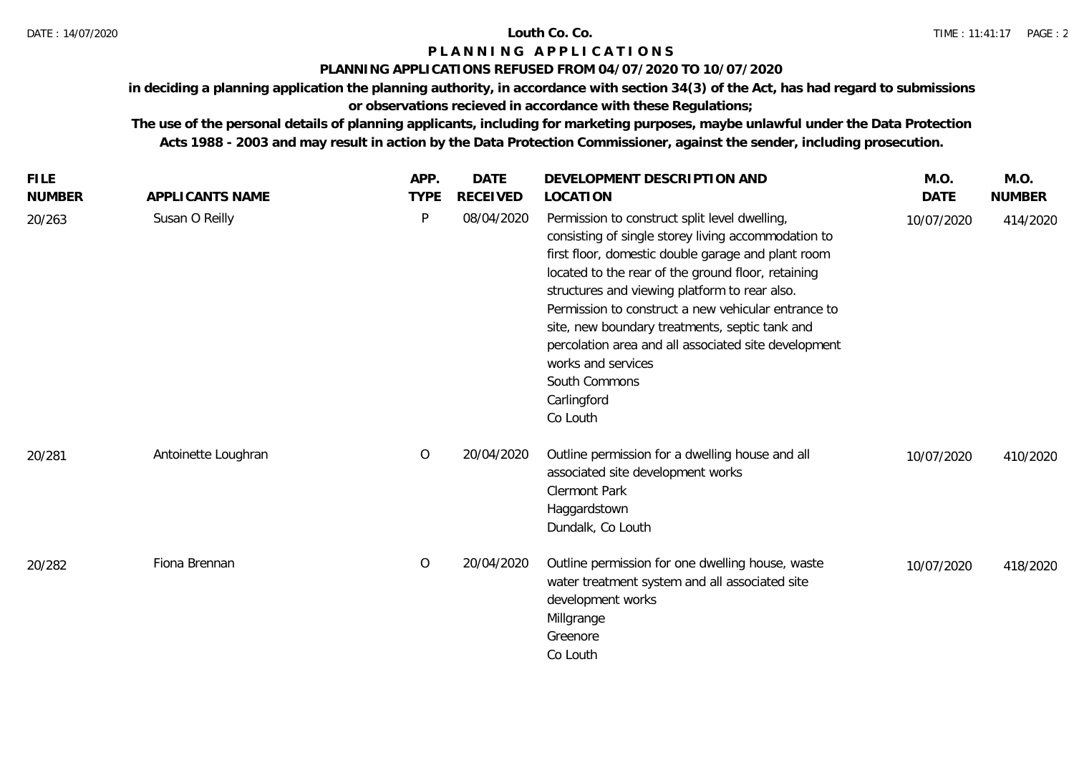### **P L A N N I N G A P P L I C A T I O N S**

### **PLANNING APPLICATIONS REFUSED FROM 04/07/2020 TO 10/07/2020**

**in deciding a planning application the planning authority, in accordance with section 34(3) of the Act, has had regard to submissions** 

# **or observations recieved in accordance with these Regulations;**

**The use of the personal details of planning applicants, including for marketing purposes, maybe unlawful under the Data Protection Acts 1988 - 2003 and may result in action by the Data Protection Commissioner, against the sender, including prosecution.**

| <b>FILE</b><br><b>NUMBER</b> | APPLICANTS NAME     | APP.<br><b>TYPE</b> | <b>DATE</b><br><b>RECEIVED</b> | DEVELOPMENT DESCRIPTION AND<br>LOCATION                                                                                                                                                                                                                                                                                                                                                                                                                                                              | M.O.<br><b>DATE</b> | M.O.<br><b>NUMBER</b> |
|------------------------------|---------------------|---------------------|--------------------------------|------------------------------------------------------------------------------------------------------------------------------------------------------------------------------------------------------------------------------------------------------------------------------------------------------------------------------------------------------------------------------------------------------------------------------------------------------------------------------------------------------|---------------------|-----------------------|
| 20/263                       | Susan O Reilly      | P                   | 08/04/2020                     | Permission to construct split level dwelling,<br>consisting of single storey living accommodation to<br>first floor, domestic double garage and plant room<br>located to the rear of the ground floor, retaining<br>structures and viewing platform to rear also.<br>Permission to construct a new vehicular entrance to<br>site, new boundary treatments, septic tank and<br>percolation area and all associated site development<br>works and services<br>South Commons<br>Carlingford<br>Co Louth | 10/07/2020          | 414/2020              |
| 20/281                       | Antoinette Loughran | $\circ$             | 20/04/2020                     | Outline permission for a dwelling house and all<br>associated site development works<br><b>Clermont Park</b><br>Haggardstown<br>Dundalk, Co Louth                                                                                                                                                                                                                                                                                                                                                    | 10/07/2020          | 410/2020              |
| 20/282                       | Fiona Brennan       | $\overline{O}$      | 20/04/2020                     | Outline permission for one dwelling house, waste<br>water treatment system and all associated site<br>development works<br>Millgrange<br>Greenore<br>Co Louth                                                                                                                                                                                                                                                                                                                                        | 10/07/2020          | 418/2020              |